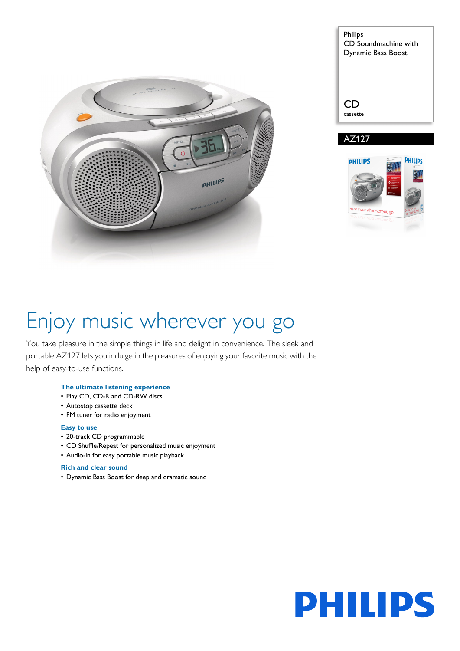

| <b>Philips</b><br>CD Soundmachine with<br>Dynamic Bass Boost |
|--------------------------------------------------------------|
|                                                              |

cassette AZ127



# Enjoy music wherever you go

You take pleasure in the simple things in life and delight in convenience. The sleek and portable AZ127 lets you indulge in the pleasures of enjoying your favorite music with the help of easy-to-use functions.

### **The ultimate listening experience**

- Play CD, CD-R and CD-RW discs
- Autostop cassette deck
- FM tuner for radio enjoyment

### **Easy to use**

- 20-track CD programmable
- CD Shuffle/Repeat for personalized music enjoyment
- Audio-in for easy portable music playback

### **Rich and clear sound**

• Dynamic Bass Boost for deep and dramatic sound